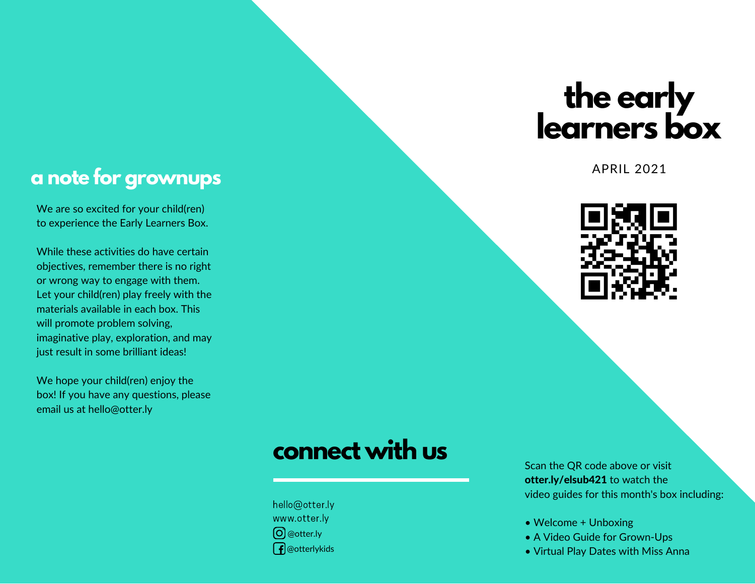# **the early learners box**

APRIL 2021



#### **a note for grownups**

We are so excited for your child(ren) to experience the Early Learners Box.

While these activities do have certain objectives, remember there is no right or wrong way to engage with them. Let your child(ren) play freely with the materials available in each box. This will promote problem solving, imaginative play, exploration, and may just result in some brilliant ideas!

We hope your child(ren) enjoy the box! If you have any questions, please email us at hello@otter.ly

## **connect with us**

hello@otter.ly www.otter.ly @otter.ly  $\int$  @otterlykids

Scan the QR code above or visit otter.ly/elsub421 to watch the video guides for this month's box including:

- Welcome + Unboxing
- A Video Guide for Grown-Ups
- Virtual Play Dates with Miss Anna